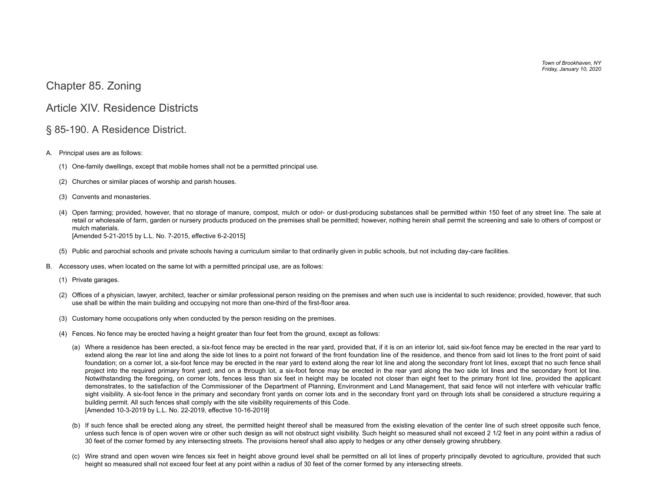*Town of Brookhaven, NY Friday, January 10, 2020*

## <span id="page-0-0"></span>[Chapter 85. Zoning](#page-0-0)

## <span id="page-0-1"></span>[Article XIV. Residence Districts](#page-0-1)

## <span id="page-0-2"></span>[§ 85-190. A Residence District.](#page-0-2)

- [A.](https://ecode360.com/print/8597515#8597515)  Principal uses are as follows:
	- [\(1\)](https://ecode360.com/print/8597516#8597516)  One-family dwellings, except that mobile homes shall not be a permitted principal use.
	- [\(2\)](https://ecode360.com/print/29023269#29023269)  Churches or similar places of worship and parish houses.
	- [\(3\)](https://ecode360.com/print/29023270#29023270)  Convents and monasteries.
	- [\(4\)](https://ecode360.com/print/29023271#29023271)  Open farming; provided, however, that no storage of manure, compost, mulch or odor- or dust-producing substances shall be permitted within 150 feet of any street line. The sale at retail or wholesale of farm, garden or nursery products produced on the premises shall be permitted; however, nothing herein shall permit the screening and sale to others of compost or mulch materials. [Amended 5-21-2015 by L.L. No. 7-2015, effective 6-2-2015]
	- [\(5\)](https://ecode360.com/print/29023272#29023272)  Public and parochial schools and private schools having a curriculum similar to that ordinarily given in public schools, but not including day-care facilities.
- [B.](https://ecode360.com/print/8597517#8597517)  Accessory uses, when located on the same lot with a permitted principal use, are as follows:
	- [\(1\)](https://ecode360.com/print/29023273#29023273)  Private garages.
	- [\(2\)](https://ecode360.com/print/29023274#29023274)  Offices of a physician, lawyer, architect, teacher or similar professional person residing on the premises and when such use is incidental to such residence; provided, however, that such use shall be within the main building and occupying not more than one-third of the first-floor area.
	- [\(3\)](https://ecode360.com/print/29023275#29023275)  Customary home occupations only when conducted by the person residing on the premises.
	- [\(4\)](https://ecode360.com/print/29023276#29023276)  Fences. No fence may be erected having a height greater than four feet from the ground, except as follows:
		- [\(a\)](https://ecode360.com/print/29023277#29023277)  Where a residence has been erected, a six-foot fence may be erected in the rear yard, provided that, if it is on an interior lot, said six-foot fence may be erected in the rear yard to extend along the rear lot line and along the side lot lines to a point not forward of the front foundation line of the residence, and thence from said lot lines to the front point of said foundation; on a corner lot, a six-foot fence may be erected in the rear yard to extend along the rear lot line and along the secondary front lot lines, except that no such fence shall project into the required primary front yard; and on a through lot, a six-foot fence may be erected in the rear yard along the two side lot lines and the secondary front lot line. Notwithstanding the foregoing, on corner lots, fences less than six feet in height may be located not closer than eight feet to the primary front lot line, provided the applicant demonstrates, to the satisfaction of the Commissioner of the Department of Planning, Environment and Land Management, that said fence will not interfere with vehicular traffic sight visibility. A six-foot fence in the primary and secondary front yards on corner lots and in the secondary front yard on through lots shall be considered a structure requiring a building permit. All such fences shall comply with the site visibility requirements of this Code. [Amended 10-3-2019 by L.L. No. 22-2019, effective 10-16-2019]
		- [\(b\)](https://ecode360.com/print/29023278#29023278)  If such fence shall be erected along any street, the permitted height thereof shall be measured from the existing elevation of the center line of such street opposite such fence, unless such fence is of open woven wire or other such design as will not obstruct sight visibility. Such height so measured shall not exceed 2 1/2 feet in any point within a radius of 30 feet of the corner formed by any intersecting streets. The provisions hereof shall also apply to hedges or any other densely growing shrubbery.
		- [\(c\)](https://ecode360.com/print/29023279#29023279)  Wire strand and open woven wire fences six feet in height above ground level shall be permitted on all lot lines of property principally devoted to agriculture, provided that such height so measured shall not exceed four feet at any point within a radius of 30 feet of the corner formed by any intersecting streets.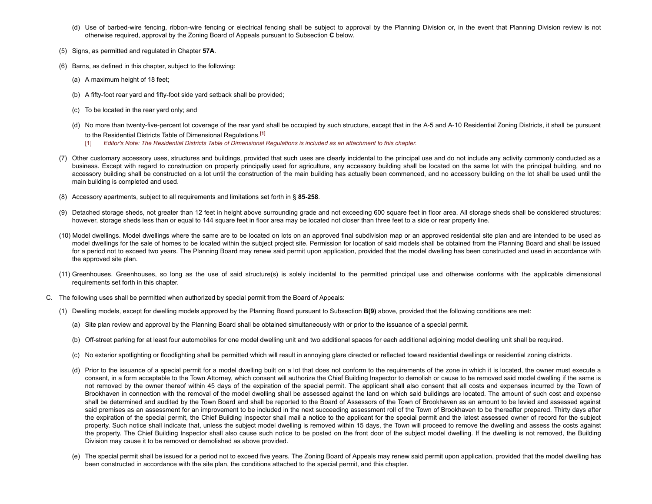- [\(d\)](https://ecode360.com/print/29023280#29023280)  Use of barbed-wire fencing, ribbon-wire fencing or electrical fencing shall be subject to approval by the Planning Division or, in the event that Planning Division review is not otherwise required, approval by the Zoning Board of Appeals pursuant to Subsection **[C](https://ecode360.com/print/8597518#8597518)** below.
- [\(5\)](https://ecode360.com/print/29023281#29023281)  Signs, as permitted and regulated in Chapter **[57A](https://ecode360.com/print/8594153#8594153)**.
- [\(6\)](https://ecode360.com/print/29023282#29023282)  Barns, as defined in this chapter, subject to the following:
	- [\(a\)](https://ecode360.com/print/29023283#29023283)  A maximum height of 18 feet;
	- [\(b\)](https://ecode360.com/print/29023284#29023284)  A fifty-foot rear yard and fifty-foot side yard setback shall be provided;
	- [\(c\)](https://ecode360.com/print/29023285#29023285)  To be located in the rear yard only; and
	- [\(d\)](https://ecode360.com/print/29023286#29023286)  No more than twenty-five-percent lot coverage of the rear yard shall be occupied by such structure, except that in the A-5 and A-10 Residential Zoning Districts, it shall be pursuant to the Residential Districts Table of Dimensional Regulations.**[\[1\]](#page-1-1)**
		- $[1]$ Editor's Note: The Residential Districts Table of Dimensional Regulations is included as an attachment to this chapter.
- <span id="page-1-1"></span><span id="page-1-0"></span>[\(7\)](https://ecode360.com/print/29023287#29023287)  Other customary accessory uses, structures and buildings, provided that such uses are clearly incidental to the principal use and do not include any activity commonly conducted as a business. Except with regard to construction on property principally used for agriculture, any accessory building shall be located on the same lot with the principal building, and no accessory building shall be constructed on a lot until the construction of the main building has actually been commenced, and no accessory building on the lot shall be used until the main building is completed and used.
- [\(8\)](https://ecode360.com/print/29023288#29023288)  Accessory apartments, subject to all requirements and limitations set forth in § **[85-258](https://ecode360.com/print/8597606#8597606)**.
- [\(9\)](https://ecode360.com/print/29023289#29023289)  Detached storage sheds, not greater than 12 feet in height above surrounding grade and not exceeding 600 square feet in floor area. All storage sheds shall be considered structures; however, storage sheds less than or equal to 144 square feet in floor area may be located not closer than three feet to a side or rear property line.
- [\(10\)](https://ecode360.com/print/29023290#29023290)  Model dwellings. Model dwellings where the same are to be located on lots on an approved final subdivision map or an approved residential site plan and are intended to be used as model dwellings for the sale of homes to be located within the subject project site. Permission for location of said models shall be obtained from the Planning Board and shall be issued for a period not to exceed two years. The Planning Board may renew said permit upon application, provided that the model dwelling has been constructed and used in accordance with the approved site plan.
- [\(11\)](https://ecode360.com/print/29023291#29023291)  Greenhouses. Greenhouses, so long as the use of said structure(s) is solely incidental to the permitted principal use and otherwise conforms with the applicable dimensional requirements set forth in this chapter.
- [C.](https://ecode360.com/print/8597518#8597518)  The following uses shall be permitted when authorized by special permit from the Board of Appeals:
	- [\(1\)](https://ecode360.com/print/29023292#29023292)  Dwelling models, except for dwelling models approved by the Planning Board pursuant to Subsection **[B\(9\)](https://ecode360.com/print/29023289#29023289)** above, provided that the following conditions are met:
		- [\(a\)](https://ecode360.com/print/29023293#29023293)  Site plan review and approval by the Planning Board shall be obtained simultaneously with or prior to the issuance of a special permit.
		- [\(b\)](https://ecode360.com/print/29023294#29023294)  Off-street parking for at least four automobiles for one model dwelling unit and two additional spaces for each additional adjoining model dwelling unit shall be required.
		- [\(c\)](https://ecode360.com/print/29023295#29023295)  No exterior spotlighting or floodlighting shall be permitted which will result in annoying glare directed or reflected toward residential dwellings or residential zoning districts.
		- [\(d\)](https://ecode360.com/print/29023296#29023296)  Prior to the issuance of a special permit for a model dwelling built on a lot that does not conform to the requirements of the zone in which it is located, the owner must execute a consent, in a form acceptable to the Town Attorney, which consent will authorize the Chief Building Inspector to demolish or cause to be removed said model dwelling if the same is not removed by the owner thereof within 45 days of the expiration of the special permit. The applicant shall also consent that all costs and expenses incurred by the Town of Brookhaven in connection with the removal of the model dwelling shall be assessed against the land on which said buildings are located. The amount of such cost and expense shall be determined and audited by the Town Board and shall be reported to the Board of Assessors of the Town of Brookhaven as an amount to be levied and assessed against said premises as an assessment for an improvement to be included in the next succeeding assessment roll of the Town of Brookhaven to be thereafter prepared. Thirty days after the expiration of the special permit, the Chief Building Inspector shall mail a notice to the applicant for the special permit and the latest assessed owner of record for the subject property. Such notice shall indicate that, unless the subject model dwelling is removed within 15 days, the Town will proceed to remove the dwelling and assess the costs against the property. The Chief Building Inspector shall also cause such notice to be posted on the front door of the subject model dwelling. If the dwelling is not removed, the Building Division may cause it to be removed or demolished as above provided.
		- [\(e\)](https://ecode360.com/print/29023297#29023297)  The special permit shall be issued for a period not to exceed five years. The Zoning Board of Appeals may renew said permit upon application, provided that the model dwelling has been constructed in accordance with the site plan, the conditions attached to the special permit, and this chapter.